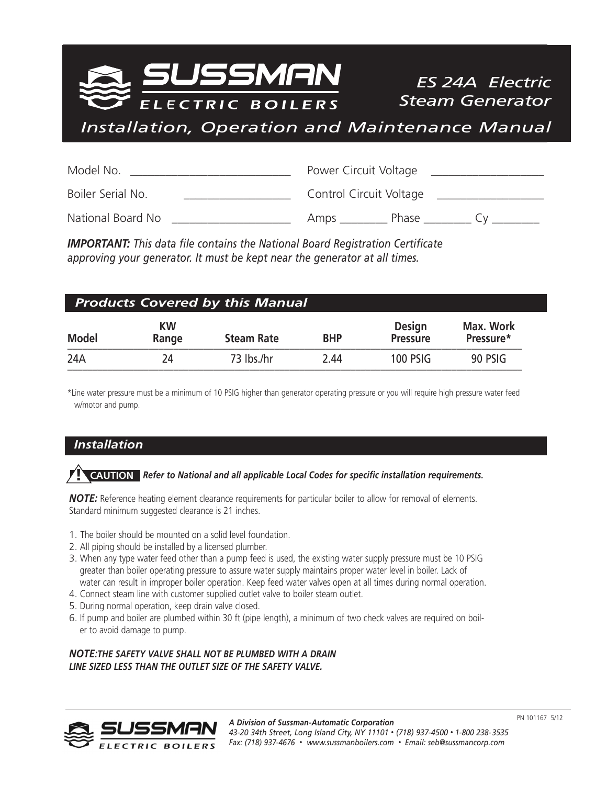5SMAN ELECTRIC BOILERS

*ES 24A Electric Steam Generator*

*Installation, Operation and Maintenance Manual*

| Model No.         | Power Circuit Voltage   |
|-------------------|-------------------------|
| Boiler Serial No. | Control Circuit Voltage |
| National Board No | Phase<br>Amps           |

*IMPORTANT: This data file contains the National Board Registration Certificate approving your generator. It must be kept near the generator at all times.*

| <b>Products Covered by this Manual</b> |                    |                   |            |                                  |                        |
|----------------------------------------|--------------------|-------------------|------------|----------------------------------|------------------------|
| <b>Model</b>                           | <b>KW</b><br>Range | <b>Steam Rate</b> | <b>BHP</b> | <b>Design</b><br><b>Pressure</b> | Max. Work<br>Pressure* |
| 24A                                    | 24                 | 73 lbs./hr        | 2.44       | <b>100 PSIG</b>                  | 90 PSIG                |

\*Line water pressure must be a minimum of 10 PSIG higher than generator operating pressure or you will require high pressure water feed w/motor and pump.

## *Installation*

# *Refer to National and all applicable Local Codes for specific installation requirements.* **! CAUTION**

*NOTE:* Reference heating element clearance requirements for particular boiler to allow for removal of elements. Standard minimum suggested clearance is 21 inches.

- 1. The boiler should be mounted on a solid level foundation.
- 2. All piping should be installed by a licensed plumber.
- 3. When any type water feed other than a pump feed is used, the existing water supply pressure must be 10 PSIG greater than boiler operating pressure to assure water supply maintains proper water level in boiler. Lack of water can result in improper boiler operation. Keep feed water valves open at all times during normal operation.
- 4. Connect steam line with customer supplied outlet valve to boiler steam outlet.
- 5. During normal operation, keep drain valve closed.
- 6. If pump and boiler are plumbed within 30 ft (pipe length), a minimum of two check valves are required on boiler to avoid damage to pump.

*NOTE:THE SAFETY VALVE SHALL NOT BE PLUMBED WITH A DRAIN LINE SIZED LESS THAN THE OUTLET SIZE OF THE SAFETY VALVE.*

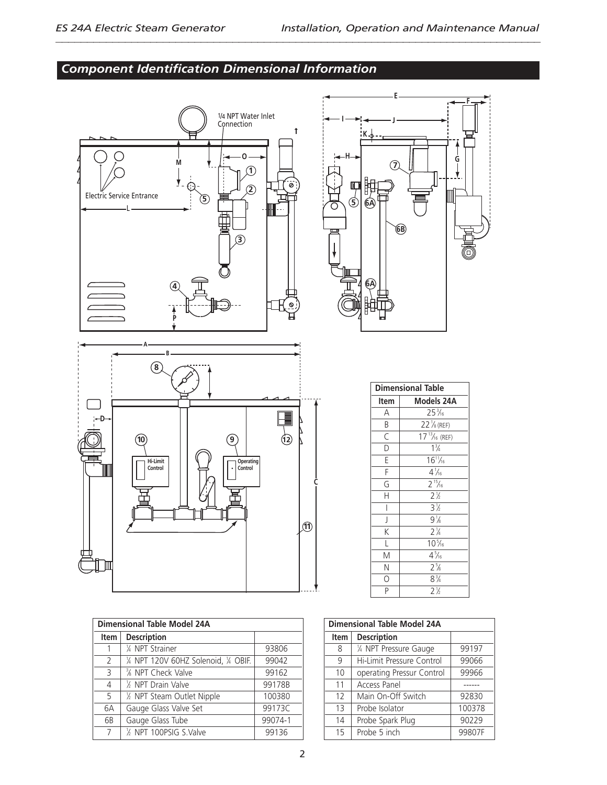# *Component Identification Dimensional Information*



| <b>Dimensional Table Model 24A</b> |                                             |         |  |
|------------------------------------|---------------------------------------------|---------|--|
| <b>Item</b>                        | <b>Description</b>                          |         |  |
|                                    | 1/4 NPT Strainer                            | 93806   |  |
| 2                                  | 1/4 NPT 120V 60HZ Solenoid, 1/4 OBIF.       | 99042   |  |
| 3                                  | <sup>3</sup> / <sub>8</sub> NPT Check Valve | 99162   |  |
| $\overline{4}$                     | 1/2 NPT Drain Valve                         | 99178B  |  |
| 5                                  | 1/2 NPT Steam Outlet Nipple                 | 100380  |  |
| 6A                                 | Gauge Glass Valve Set                       | 99173C  |  |
| 6B                                 | Gauge Glass Tube                            | 99074-1 |  |
| 7                                  | 1/2 NPT 100PSIG S.Valve                     | 99136   |  |



| <b>Dimensional Table</b> |                       |  |
|--------------------------|-----------------------|--|
| Item                     | <b>Models 24A</b>     |  |
| Α                        | $25\frac{3}{16}$      |  |
| B                        | $22\frac{1}{8}$ (REF) |  |
| $\overline{\epsilon}$    | $17^{13}/_{16}$ (REF) |  |
| $\overline{\mathsf{D}}$  | $1\frac{3}{4}$        |  |
| Ē                        | $16^{11}/16$          |  |
| F                        | $4\frac{1}{16}$       |  |
| G                        | $2^{15}/6$            |  |
| H                        | $2^{1/2}$             |  |
|                          | $3\frac{1}{2}$        |  |
| J                        | $9\frac{1}{8}$        |  |
| $\overline{\mathsf{K}}$  | $2\frac{1}{4}$        |  |
| L                        | $10\frac{5}{16}$      |  |
| M                        | $4\frac{5}{16}$       |  |
| N                        | $2\frac{5}{8}$        |  |
| O                        | $8^{3}/4$             |  |
| Þ                        | $2\frac{1}{6}$        |  |

| <b>Dimensional Table Model 24A</b> |                                             |        |
|------------------------------------|---------------------------------------------|--------|
| <b>Item</b>                        | <b>Description</b>                          |        |
| 8                                  | $\overline{\frac{1}{4}}$ NPT Pressure Gauge | 99197  |
| 9                                  | Hi-Limit Pressure Control                   | 99066  |
| 10                                 | operating Pressur Control                   | 99966  |
| 11                                 | <b>Access Panel</b>                         |        |
| 12                                 | Main On-Off Switch                          | 92830  |
| 13                                 | Probe Isolator                              | 100378 |
| 14                                 | Probe Spark Plug                            | 90229  |
| 15                                 | Probe 5 inch                                | 99807F |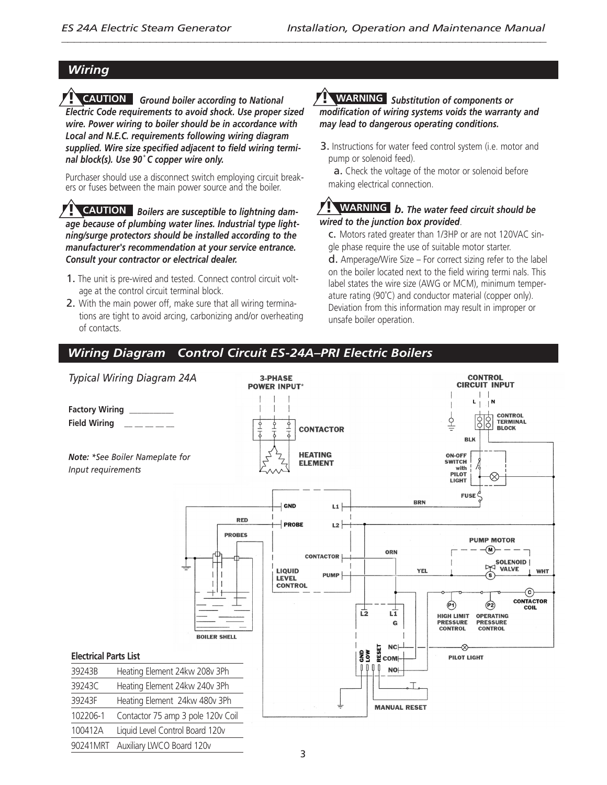## *Wiring*

*Ground boiler according to National* **! CAUTION ! WARNING** *Electric Code requirements to avoid shock. Use proper sized wire. Power wiring to boiler should be in accordance with Local and N.E.C. requirements following wiring diagram supplied. Wire size specified adjacent to field wiring terminal block(s). Use 90˚ C copper wire only.*

Purchaser should use a disconnect switch employing circuit breakers or fuses between the main power source and the boiler.

*Boilers are susceptible to lightning dam-***! WARNING ! CAUTION** *age because of plumbing water lines. Industrial type lightning/surge protectors should be installed according to the manufacturer's recommendation at your service entrance. Consult your contractor or electrical dealer.*

- 1. The unit is pre-wired and tested. Connect control circuit voltage at the control circuit terminal block.
- 2. With the main power off, make sure that all wiring terminations are tight to avoid arcing, carbonizing and/or overheating of contacts.

## *Substitution of components or modification of wiring systems voids the warranty and may lead to dangerous operating conditions.*

3. Instructions for water feed control system (i.e. motor and pump or solenoid feed).

a. Check the voltage of the motor or solenoid before making electrical connection.

#### *b. The water feed circuit should be wired to the junction box provided*.

c. Motors rated greater than 1/3HP or are not 120VAC single phase require the use of suitable motor starter.

d. Amperage/Wire Size – For correct sizing refer to the label on the boiler located next to the field wiring termi nals. This label states the wire size (AWG or MCM), minimum temperature rating (90˚C) and conductor material (copper only). Deviation from this information may result in improper or unsafe boiler operation.

# *Wiring Diagram Control Circuit ES-24A–PRI Electric Boilers*

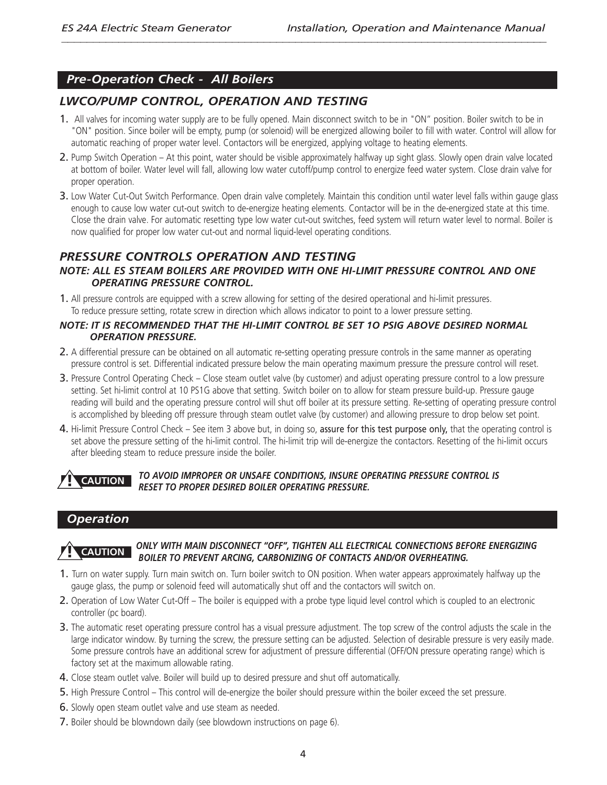## *Pre-Operation Check - All Boilers*

## *LWCO/PUMP CONTROL, OPERATION AND TESTING*

- 1. All valves for incoming water supply are to be fully opened. Main disconnect switch to be in "ON" position. Boiler switch to be in "ON" position. Since boiler will be empty, pump (or solenoid) will be energized allowing boiler to fill with water. Control will allow for automatic reaching of proper water level. Contactors will be energized, applying voltage to heating elements.
- 2. Pump Switch Operation At this point, water should be visible approximately halfway up sight glass. Slowly open drain valve located at bottom of boiler. Water level will fall, allowing low water cutoff/pump control to energize feed water system. Close drain valve for proper operation.
- 3. Low Water Cut-Out Switch Performance. Open drain valve completely. Maintain this condition until water level falls within gauge glass enough to cause low water cut-out switch to de-energize heating elements. Contactor will be in the de-energized state at this time. Close the drain valve. For automatic resetting type low water cut-out switches, feed system will return water level to normal. Boiler is now qualified for proper low water cut-out and normal liquid-level operating conditions.

# *PRESSURE CONTROLS OPERATION AND TESTING*

#### *NOTE: ALL ES STEAM BOILERS ARE PROVIDED WITH ONE HI-LIMIT PRESSURE CONTROL AND ONE OPERATING PRESSURE CONTROL.*

1. All pressure controls are equipped with a screw allowing for setting of the desired operational and hi-limit pressures. To reduce pressure setting, rotate screw in direction which allows indicator to point to a lower pressure setting.

#### *NOTE: IT IS RECOMMENDED THAT THE HI-LIMIT CONTROL BE SET 1O PSIG ABOVE DESIRED NORMAL OPERATION PRESSURE.*

- 2. A differential pressure can be obtained on all automatic re-setting operating pressure controls in the same manner as operating pressure control is set. Differential indicated pressure below the main operating maximum pressure the pressure control will reset.
- 3. Pressure Control Operating Check Close steam outlet valve (by customer) and adjust operating pressure control to a low pressure setting. Set hi-limit control at 10 PS1G above that setting. Switch boiler on to allow for steam pressure build-up. Pressure gauge reading will build and the operating pressure control will shut off boiler at its pressure setting. Re-setting of operating pressure control is accomplished by bleeding off pressure through steam outlet valve (by customer) and allowing pressure to drop below set point.
- 4. Hi-limit Pressure Control Check See item 3 above but, in doing so, assure for this test purpose only, that the operating control is set above the pressure setting of the hi-limit control. The hi-limit trip will de-energize the contactors. Resetting of the hi-limit occurs after bleeding steam to reduce pressure inside the boiler.

#### *TO AVOID IMPROPER OR UNSAFE CONDITIONS, INSURE OPERATING PRESSURE CONTROL IS RESET TO PROPER DESIRED BOILER OPERATING PRESSURE.* **! CAUTION**

## *Operation*



#### *ONLY WITH MAIN DISCONNECT "OFF", TIGHTEN ALL ELECTRICAL CONNECTIONS BEFORE ENERGIZING BOILER TO PREVENT ARCING, CARBONIZING OF CONTACTS AND/OR OVERHEATING.*

- 1. Turn on water supply. Turn main switch on. Turn boiler switch to ON position. When water appears approximately halfway up the gauge glass, the pump or solenoid feed will automatically shut off and the contactors will switch on.
- 2. Operation of Low Water Cut-Off The boiler is equipped with a probe type liquid level control which is coupled to an electronic controller (pc board).
- 3. The automatic reset operating pressure control has a visual pressure adjustment. The top screw of the control adjusts the scale in the large indicator window. By turning the screw, the pressure setting can be adjusted. Selection of desirable pressure is very easily made. Some pressure controls have an additional screw for adjustment of pressure differential (OFF/ON pressure operating range) which is factory set at the maximum allowable rating.
- 4. Close steam outlet valve. Boiler will build up to desired pressure and shut off automatically.
- 5. High Pressure Control This control will de-energize the boiler should pressure within the boiler exceed the set pressure.
- 6. Slowly open steam outlet valve and use steam as needed.
- 7. Boiler should be blowndown daily (see blowdown instructions on page 6).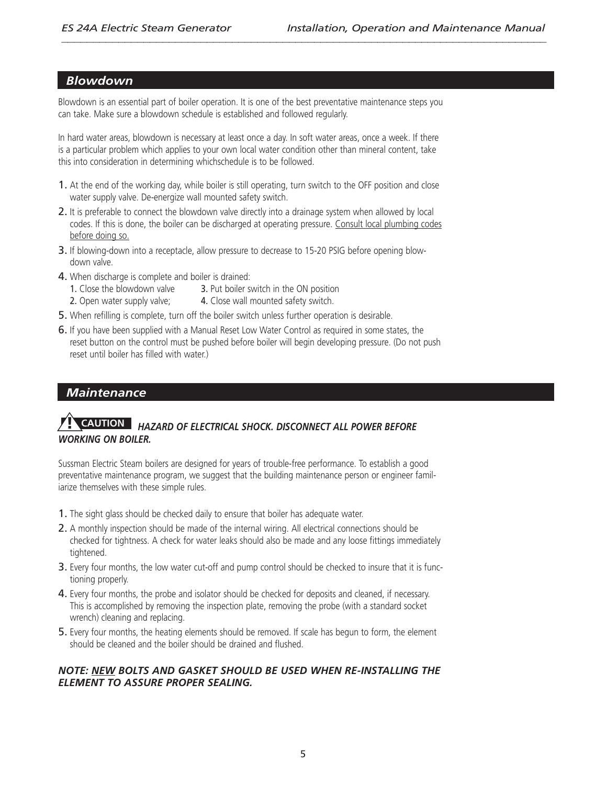#### *Blowdown*

Blowdown is an essential part of boiler operation. It is one of the best preventative maintenance steps you can take. Make sure a blowdown schedule is established and followed regularly.

In hard water areas, blowdown is necessary at least once a day. In soft water areas, once a week. If there is a particular problem which applies to your own local water condition other than mineral content, take this into consideration in determining whichschedule is to be followed.

- 1. At the end of the working day, while boiler is still operating, turn switch to the OFF position and close water supply valve. De-energize wall mounted safety switch.
- 2. It is preferable to connect the blowdown valve directly into a drainage system when allowed by local codes. If this is done, the boiler can be discharged at operating pressure. Consult local plumbing codes before doing so.
- 3. If blowing-down into a receptacle, allow pressure to decrease to 15-20 PSIG before opening blowdown valve.
- 4. When discharge is complete and boiler is drained:<br>1. Close the blowdown valve **3.** Put boiler s

3. Put boiler switch in the ON position

- 2. Open water supply valve; **4.** Close wall mounted safety switch.
- 5. When refilling is complete, turn off the boiler switch unless further operation is desirable.
- 6. If you have been supplied with a Manual Reset Low Water Control as required in some states, the reset button on the control must be pushed before boiler will begin developing pressure. (Do not push reset until boiler has filled with water.)

## *Maintenance*

#### *HAZARD OF ELECTRICAL SHOCK. DISCONNECT ALL POWER BEFORE WORKING ON BOILER.* **! CAUTION**

Sussman Electric Steam boilers are designed for years of trouble-free performance. To establish a good preventative maintenance program, we suggest that the building maintenance person or engineer familiarize themselves with these simple rules.

- 1. The sight glass should be checked daily to ensure that boiler has adequate water.
- 2. A monthly inspection should be made of the internal wiring. All electrical connections should be checked for tightness. A check for water leaks should also be made and any loose fittings immediately tightened.
- **3.** Every four months, the low water cut-off and pump control should be checked to insure that it is functioning properly.
- 4. Every four months, the probe and isolator should be checked for deposits and cleaned, if necessary. This is accomplished by removing the inspection plate, removing the probe (with a standard socket wrench) cleaning and replacing.
- 5. Every four months, the heating elements should be removed. If scale has begun to form, the element should be cleaned and the boiler should be drained and flushed.

#### *NOTE: NEW BOLTS AND GASKET SHOULD BE USED WHEN RE-INSTALLING THE ELEMENT TO ASSURE PROPER SEALING.*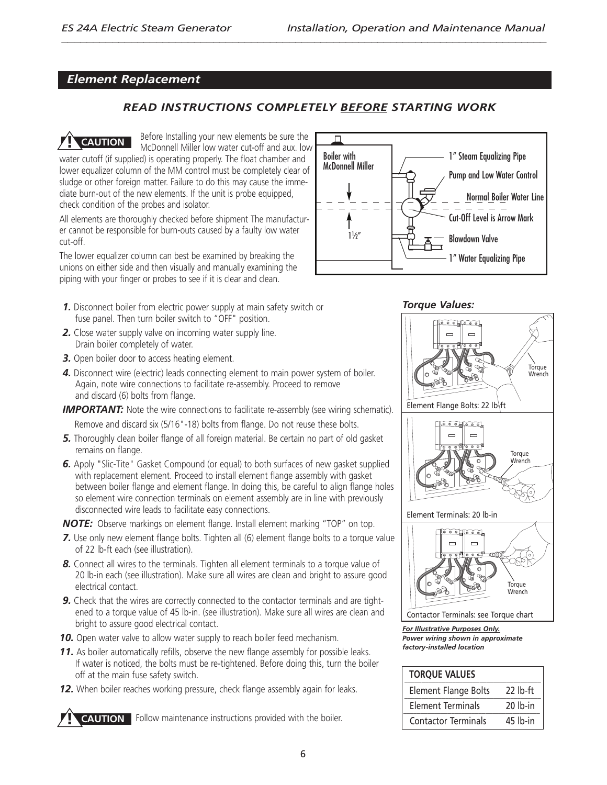#### *Element Replacement*

#### *READ INSTRUCTIONS COMPLETELY BEFORE STARTING WORK*

Before Installing your new elements be sure the McDonnell Miller low water cut-off and aux. low water cutoff (if supplied) is operating properly. The float chamber and lower equalizer column of the MM control must be completely clear of sludge or other foreign matter. Failure to do this may cause the immediate burn-out of the new elements. If the unit is probe equipped, check condition of the probes and isolator. **! CAUTION**

All elements are thoroughly checked before shipment The manufacturer cannot be responsible for burn-outs caused by a faulty low water cut-off.

The lower equalizer column can best be examined by breaking the unions on either side and then visually and manually examining the piping with your finger or probes to see if it is clear and clean.

- *1.* Disconnect boiler from electric power supply at main safety switch or fuse panel. Then turn boiler switch to "OFF" position.
- *2.* Close water supply valve on incoming water supply line. Drain boiler completely of water.
- *3.* Open boiler door to access heating element.
- *4.* Disconnect wire (electric) leads connecting element to main power system of boiler. Again, note wire connections to facilitate re-assembly. Proceed to remove and discard (6) bolts from flange.
- **IMPORTANT:** Note the wire connections to facilitate re-assembly (see wiring schematic). Remove and discard six (5/16"-18) bolts from flange. Do not reuse these bolts.
- *5.* Thoroughly clean boiler flange of all foreign material. Be certain no part of old gasket remains on flange.
- *6.* Apply "Slic-Tite" Gasket Compound (or equal) to both surfaces of new gasket supplied with replacement element. Proceed to install element flange assembly with gasket between boiler flange and element flange. In doing this, be careful to align flange holes so element wire connection terminals on element assembly are in line with previously disconnected wire leads to facilitate easy connections.

*NOTE:* Observe markings on element flange. Install element marking "TOP" on top.

- **7.** Use only new element flange bolts. Tighten all (6) element flange bolts to a torque value of 22 lb-ft each (see illustration).
- **8.** Connect all wires to the terminals. Tighten all element terminals to a torque value of 20 lb-in each (see illustration). Make sure all wires are clean and bright to assure good electrical contact.
- **9.** Check that the wires are correctly connected to the contactor terminals and are tightened to a torque value of 45 lb-in. (see illustration). Make sure all wires are clean and bright to assure good electrical contact.
- **10.** Open water valve to allow water supply to reach boiler feed mechanism.
- **11.** As boiler automatically refills, observe the new flange assembly for possible leaks. If water is noticed, the bolts must be re-tightened. Before doing this, turn the boiler off at the main fuse safety switch.
- *12.* When boiler reaches working pressure, check flange assembly again for leaks.

**POLITION** Follow maintenance instructions provided with the boiler.



*Torque Values:*





*For Illustrative Purposes Only. Power wiring shown in approximate factory-installed location*

| <b>TORQUE VALUES</b>        |            |
|-----------------------------|------------|
| <b>Element Flange Bolts</b> | $22$ lb-ft |
| <b>Element Terminals</b>    | $20$ lb-in |
| <b>Contactor Terminals</b>  | $45$ lb-in |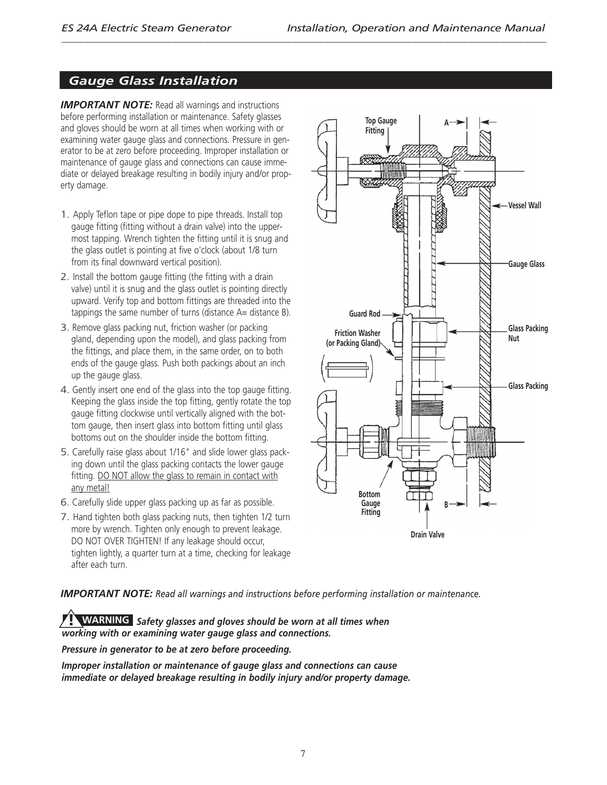# *Gauge Glass Installation*

*IMPORTANT NOTE:* Read all warnings and instructions before performing installation or maintenance. Safety glasses and gloves should be worn at all times when working with or examining water gauge glass and connections. Pressure in generator to be at zero before proceeding. Improper installation or maintenance of gauge glass and connections can cause immediate or delayed breakage resulting in bodily injury and/or property damage.

- 1. Apply Teflon tape or pipe dope to pipe threads. Install top gauge fitting (fitting without a drain valve) into the uppermost tapping. Wrench tighten the fitting until it is snug and the glass outlet is pointing at five o'clock (about 1/8 turn from its final downward vertical position).
- 2. Install the bottom gauge fitting (the fitting with a drain valve) until it is snug and the glass outlet is pointing directly upward. Verify top and bottom fittings are threaded into the tappings the same number of turns (distance A= distance B).
- 3. Remove glass packing nut, friction washer (or packing gland, depending upon the model), and glass packing from the fittings, and place them, in the same order, on to both ends of the gauge glass. Push both packings about an inch up the gauge glass.
- 4. Gently insert one end of the glass into the top gauge fitting. Keeping the glass inside the top fitting, gently rotate the top gauge fitting clockwise until vertically aligned with the bottom gauge, then insert glass into bottom fitting until glass bottoms out on the shoulder inside the bottom fitting.
- 5. Carefully raise glass about 1/16" and slide lower glass packing down until the glass packing contacts the lower gauge fitting. DO NOT allow the glass to remain in contact with any metal!
- 6. Carefully slide upper glass packing up as far as possible.
- 7. Hand tighten both glass packing nuts, then tighten 1/2 turn more by wrench. Tighten only enough to prevent leakage. DO NOT OVER TIGHTEN! If any leakage should occur, tighten lightly, a quarter turn at a time, checking for leakage after each turn.



*IMPORTANT NOTE: Read all warnings and instructions before performing installation or maintenance.*

*Safety glasses and gloves should be worn at all times when* **! WARNING***working with or examining water gauge glass and connections.*

*Pressure in generator to be at zero before proceeding.*

*Improper installation or maintenance of gauge glass and connections can cause immediate or delayed breakage resulting in bodily injury and/or property damage.*